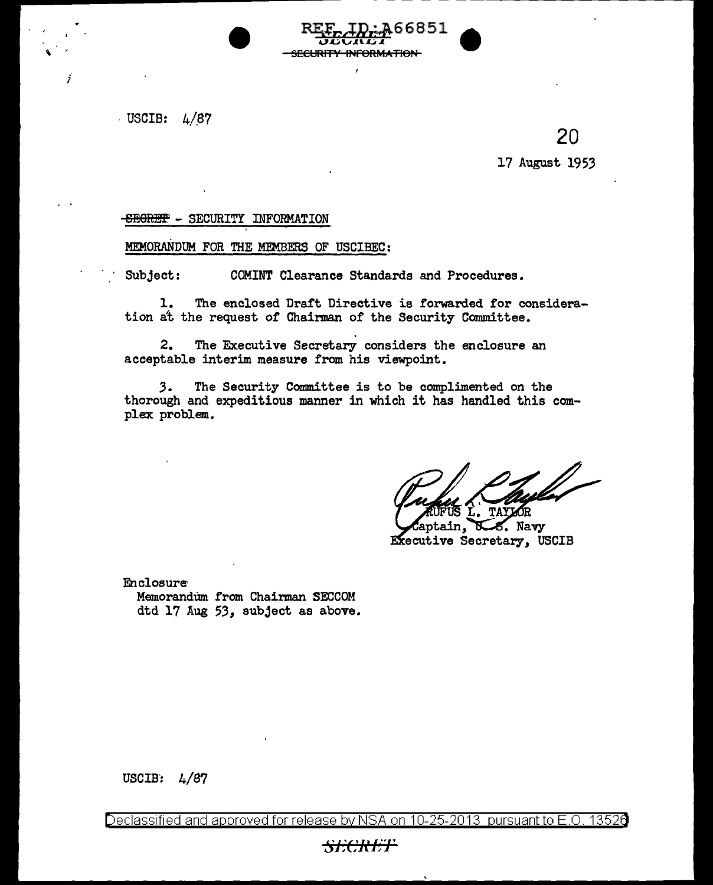$-$  USCIB:  $4/87$ 

j



## -SECURITY INFORMATION

MEMORANDUM FOR THE MEMBERS OF USCIBEC:

Subject: COMINT Clearance Standards and Procedures.

1. The enclosed Draft Directive is forwarded for consideration at the request of Chairman of the Security Committee.

 $RE_{E_1}$ ,  $ID: A 6 6 8 51$  and U' *.L:l* '-t . .n. *.L:I* .I. - <del>"ORMATION</del>

2. The Executive Secretary considers the enclosure an acceptable interim measure from his viewpoint.

*3.* The Security Committee is to be compljmented on the thorough and expeditious manner in which it has handled this complex problem.

ain. 8. Navy Executive Secretary, USCIB

Enclosura Memorandum from Chairman SECCOM dtd 17 Aug *53,* subject as above.

USCIB:  $4/87$ 

Declassified and approved for release by NSA on 10-25-2013 pursuant to E.O. 13526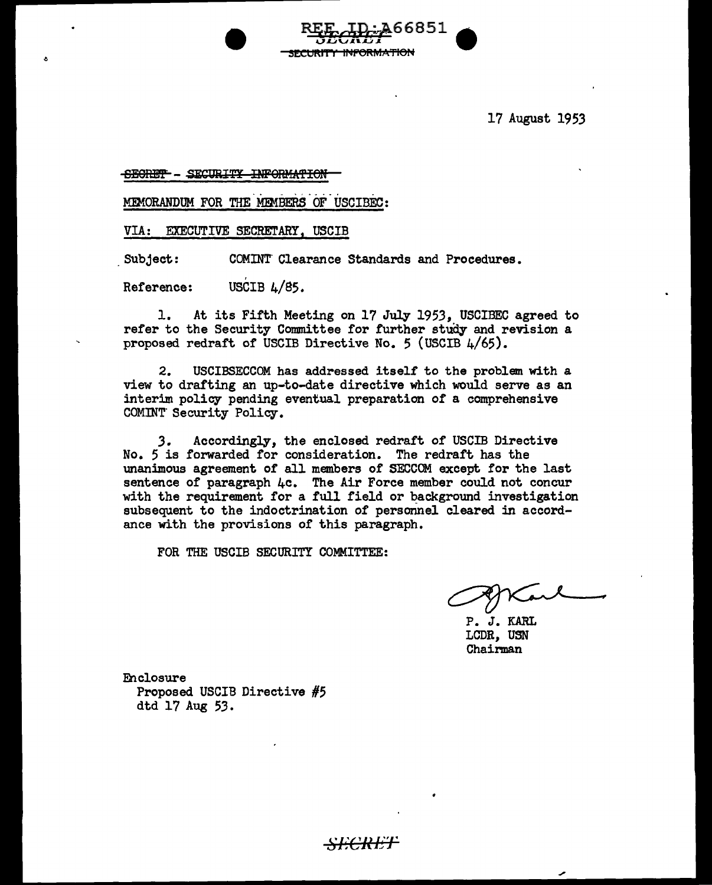17 August 1953

## SECRET - SECURITY INFORMATION

MEMORANDUM FOR THE MEMBERS OF USCIBEC:

VIA: EXECUTIVE SECRETARY, USCIB

Subject: COMINT Clearance Standards and Procedures.

Reference: USCIB  $L/85$ .

1. At its Fifth Meeting on 17 July 1953, USCIBEC agreed to refer to the Security Committee for further study and revision a proposed redrart or USCIB Directive No. 5 (USCIB 4/65).

RLA<sub>CHA</sub>RD 6831 9 :SECURITY INFORMATION

2. USCIBSECCOM has addressed itself to the problem with <sup>a</sup> view to drafting an up-to-date directive which would serve as an interim policy pending eventual preparation of a comprehensive COMINT- Security Policy.

*3.* Accordingly, the enclosed redraft of USCIB Directive No. 5 is forwarded for consideration. The redraft has the unanimous agreement of all members of SECCOM except for the last sentence of paragraph 4c. The Air Force member could not concur with the requirement for a full field or background investigation subsequent to the indoctrination of personnel cleared in accordance with the provisions of this paragraph.

*SECRE*T

FOR THE USCIB SECURITY COMMITTEE:

P. J. KARL LCDR, USN Chairman

Eh closure Proposed USCIB Directive #5 dtd 17 Aug 53.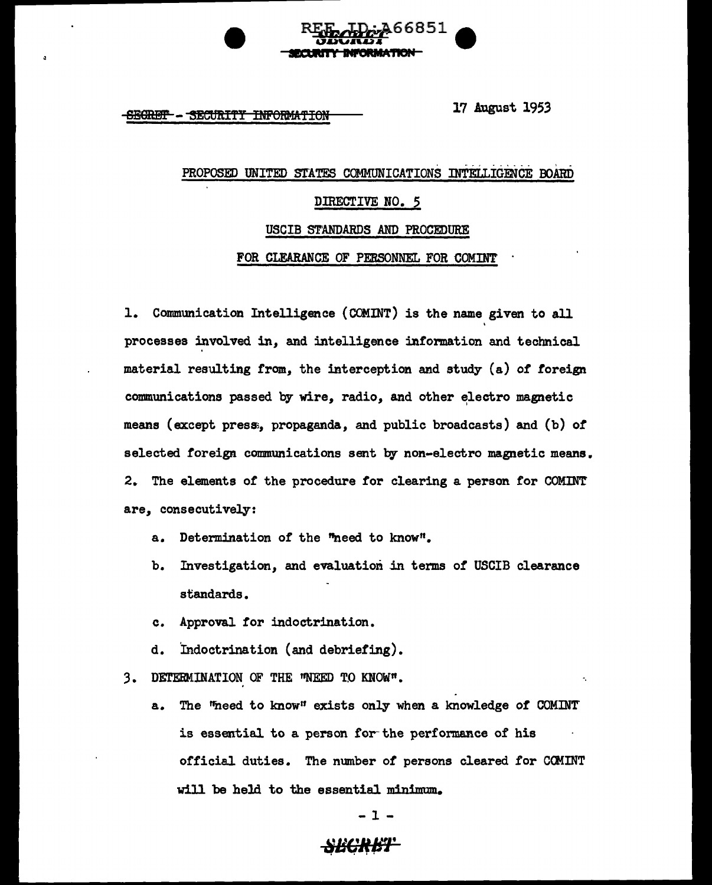

SEGRET - SECURITY INFORMATION 17 August 1953

# .<br>. <del>. . . . . . . . . . . . . . . .</del> PROPOSED UNITED STATES COMMUNICATIONS INTELLIGENCE BOARD DIRECTIVE NO. *5*  USCIB STANDARDS AND PROCEDURE

FOR CLEARANCE OF PERSONNEL FOR COMINT

1. Communication Intelligence (COMINT) is the name given to all ' processes involved in, and intelligence information and technical material resulting from, the interception and study (a) *of* foreign communications passed by wire, radio, and other electro magnetic means (except press;, propaganda, and public broadcasts) and (b) *of*  selected foreign communications sent by non-electro magnetic means. 2. The elements of the procedure for clearing a person for COMINT are, consecutively:

- a. Determination of the "need to know".
- b. Investigation, and evaluation in terms of USCIB clearance standards.
- c. Approval for indoctrination.
- d. Indoctrination (and debriefing).
- 3. DETERMINATION OF THE 'NEED TO KNOW".
	- a. The "heed to know" exists only when a knowledge of COMINT' is essential to a person for the performance of his official duties. The number of persons cleared for COMINT will be held to the essential minimum.

- 1 -

## <del>SECRET\*</del>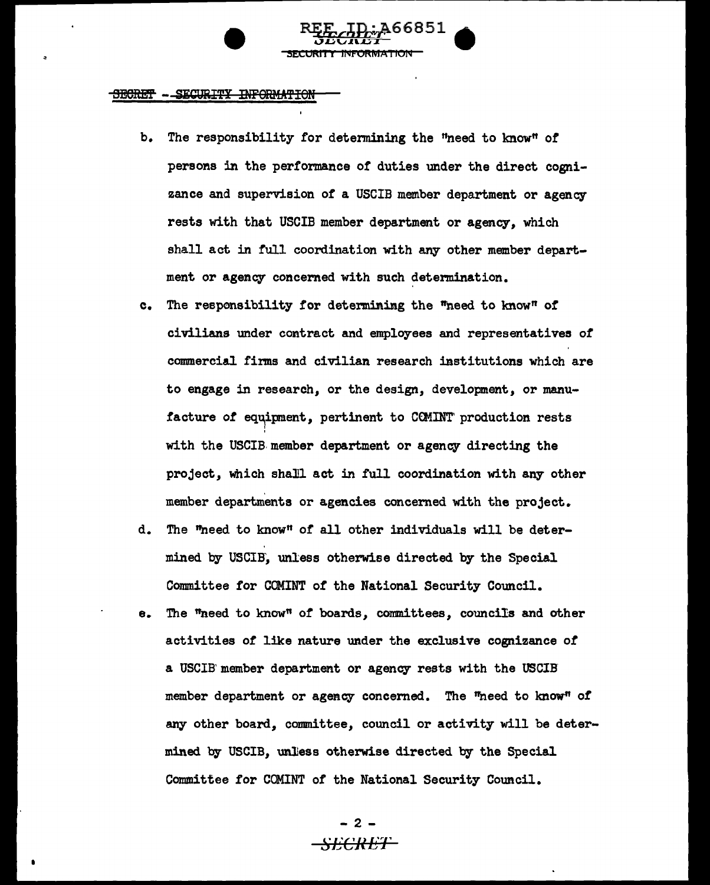

- b. The responsibility for detennining the "need to know" *ot*  persons in the performance or duties under the direct cognizance and supervision of a USCIB member department or agency rests with that USCIB member department or agency, which shall act in full coordination with any other member department or agency concerned with such determination.
- c. The responsibility for determining the "need to know" of civilians under contract and employees and representatives *ot*  commercial firms and civilian research institutions which are to engage in research, or the design, development, or manu facture of equipment, pertinent to CCMINT production rests I I with the USCIB.member department or agency directing the project, which shall act in full coordination with any other member departments or agencies concerned with the project.
- d. The "need to know" *ot* all other individuals will be determined by USCIB', unless otherwise directed by the Special Connnittee for COMINT of the National Security Council.
- e. The "need to know" of boards, committees, councils and other activities of like nature under the exclusive cognizance or a USCIB' member department or agency rests with the USCIB' member department or agency concerned. The "need to know" of any other board, committee, council or activity will be determined by USCIB, unlless otherwise directed by the Special Committee for COMINT of the National Security Council.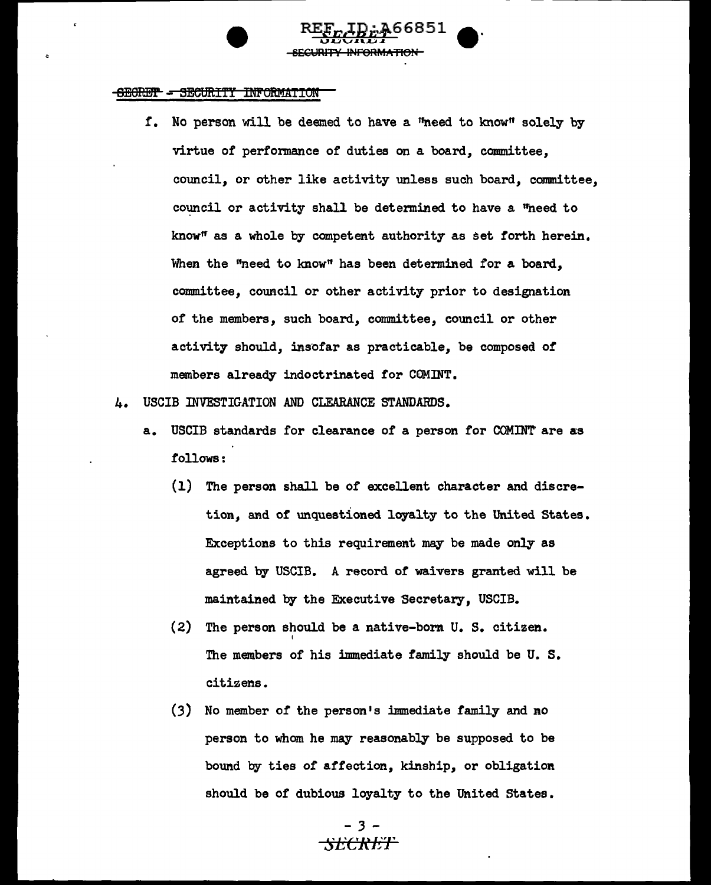f. No person will be deemed to have a "need to know" solely by virtue of perfonnance of duties on a board, committee, council, or other like activity unless such board, committee, council or activity shall be determined to have a "need to know" as a whole by competent authority as set forth herein. When the "need to know" has been determined for a board, committee, council or other activity prior to designation of the members, such board, committee, council or other activity should, insofar as practicable, be composed of members already indoctrinated for COMINT.

**REE**<sub>E</sub>LD: 466851e<sup>·</sup><br>FECRET

SECURITY INFORMATION

- 4. USCIB INVESTIGATION AND CLEARANCE STANDARDS.
	- a. USCIB standards for clearance of a person for COMINT are as follows:
		- (1) The person shall be *of* excellent character and discretion, and of unquestioned loyalty to the United States. Exceptions to this requirement may be made only as agreed by USCIB. A record of waivers granted will be maintained by the Executive Secretary, USCIB.
		- (2) The person should be a native-born U. S. citizen. <sup>I</sup> The members of his immediate family should be U. s. citizens.
		- (3) No member of the person's immediate family and no person to whom he may reasonably be supposed to be bound by ties of affection, kinship, or obligation should be of dubious loyalty to the United States.

## - *3* -<del>SECRET</del>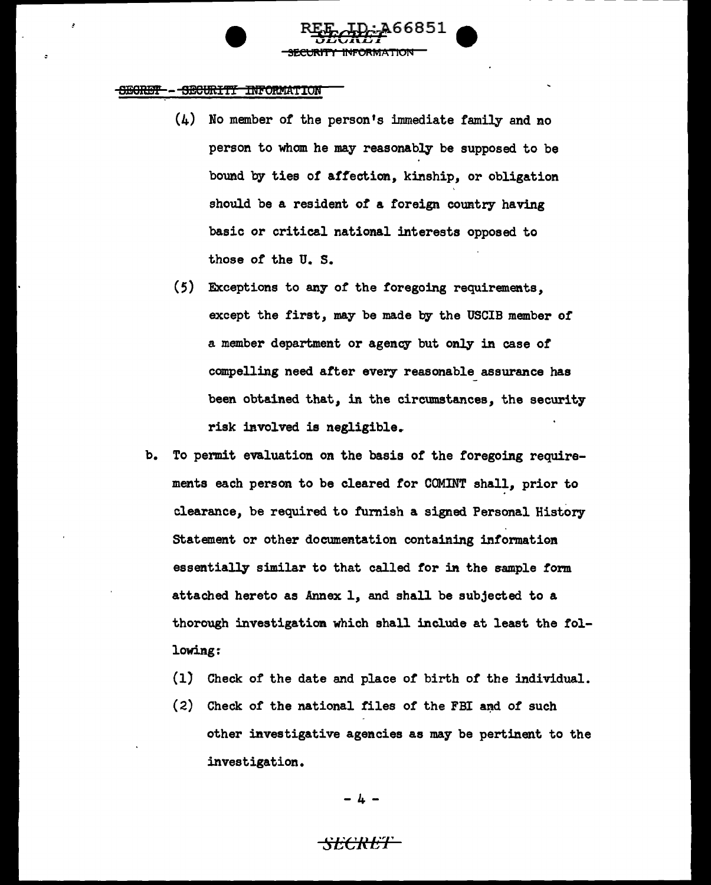### 5B0Ri!l':F - 9!9URI'fi" IN!'OltMA:TION

!

 $(4)$  No member of the person's immediate family and no person to whom he may reasonably be supposed to be bound by ties of affection, kinship, or obligation should be a resident of a foreign country having basic or critical national interests opposed to those of the U. s.

~~66851-

**SECURITY INFORMATION** 

- (5) Exceptions to any of the foregoing requirements, except the first, may be made by the USCIB member of a member department or agency but only in case of compelling need after every reasonable assurance has been obtained that, in the circumstances, the security risk involved is negligible.
- b. To permit evaluation on the basis of the foregoing requirements each person to be cleared for COMINT shall, prior to clearance, be required to furnish a signed Personal History Statement or other documentation containing information essentially similar to that called for in the sample form attached hereto as Annex 1, and shall be subjected to a thorough investigation which shall include at least the following:
	- (1) Check of the date and place of birth of' the individual.
	- $(2)$  Check of the national files of the FBI and of such other investigative agencies as may be pertinent to the investigation.

- 4 -

## ~~. f\_.!, ~t' <sup>1</sup>'i:l \_!.l .''~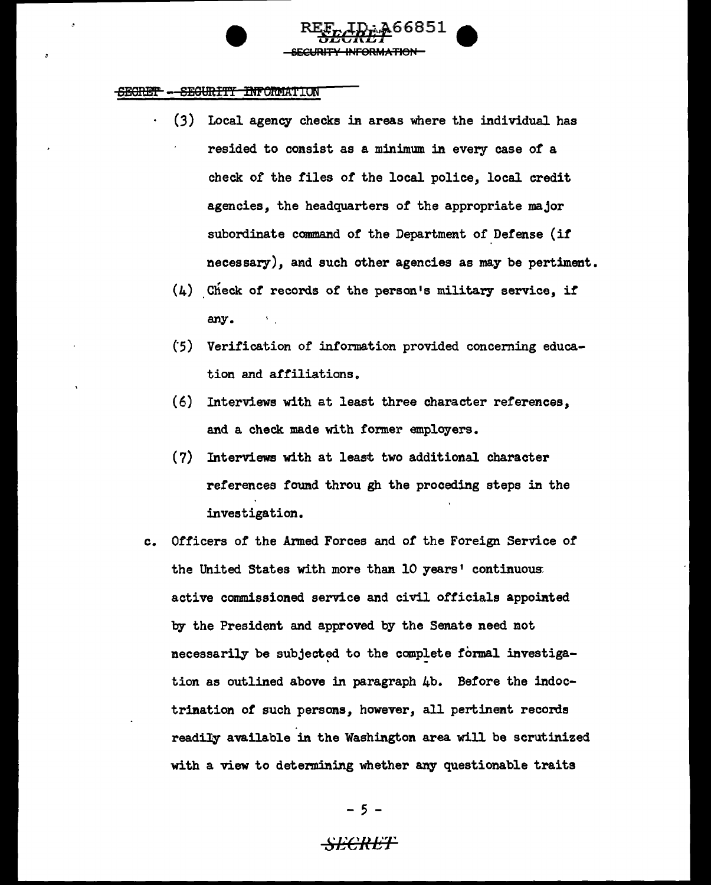(3) Local agency checks in areas where the individual has resided to consist as a minimum in every case of a check of the files of the local police, local credit agencies, the headquarters of the appropriate major subordinate command of the Department of Defense (if necessary), and such other agencies as may be pertiment.

*FEfBci&if!66as1* e

SECURITY INFORMATION

- $(4)$  Check of records of the person's military service, if any.
- (5) Verification of information provided concerning education and affiliations.
- (6) Interviews with at least three character references, and a check made with former employers.
- (7) Interviews with at least two additional character references found throu gh the proceding steps in the investigation.
- c. Officers of the Armed Forces and *of* the Foreign Service of the United States with more than 10 years' continuous active commissioned service and civil officials appointed by the President and approved by the Senate need not necessarily be subjected to the complete formal investigation as outlined above in paragraph 4b. Before the indoctrination of such persons, however, all pertinent records readily available in the Washington area will be scrutinized with a view to determining whether any questionable traits

- *5* -

## $\cdot$ SECRET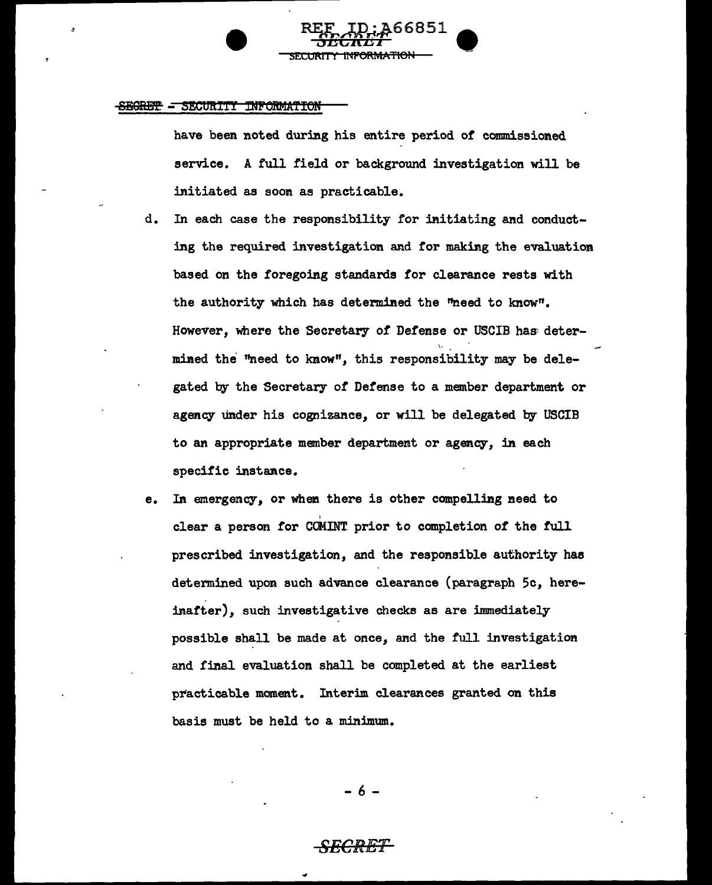have been noted during his entire period of commissioned service. A full field or background investigation will be initiated as soon as practicable.

SECURITY INFORMATION

REF ID; A66851<br><del>SECRET</del>

- d. In each case the responsibility for initiating and conducting the required investigation and for making the evaluation based on the foregoing standards for clearance rests with the authority which has determined the "need to know". However, where the Secretary *of* Defense or USCIB has determined the "need to know", this responsibility may be delegated by the Secretary *of* Defense to a member department or agency tinder his cognizance, or will be delegated by USCIB to an appropriate member department or agency, in each specific instance.
- e. In emergency, or when there is other compelling need to I clear a person for COMINT prior to completion *of* the full prescribed investigation, and the responsible authority has determined upon such advance clearance (paragraph 5c, hereinafter), such investigative checks as are immediately possible shall be made at once, and the full investigation and final evaluation shall be completed at the earliest practicable moment. Interim clearances granted on this basis must be held to a minimum.

- 6 -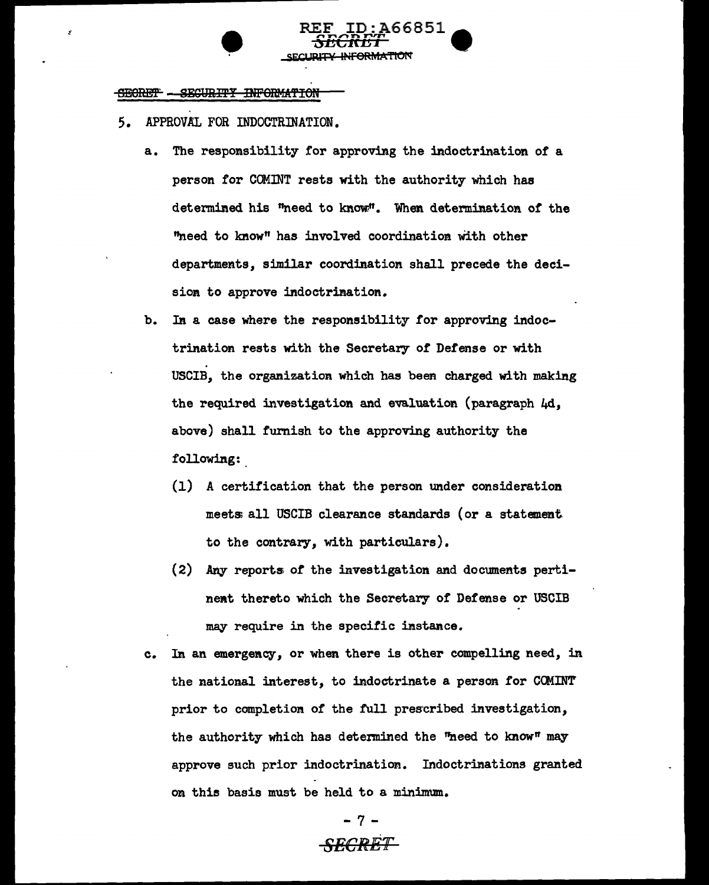#### SECURITY INFORMATION <del>SECRET</del>

- 5. APPROVAL FOR INDOCTRINATION.
	- a. The responsibility for approving the indoctrination or a person tor COMJNT rests with the authority which has determined his "need to know.". When determination of the "need to know" has involved coordination With other departments, similar coordination shall precede the decision to approve indoctrination.

REE ID:A66851  $\begin{array}{ll} \texttt{EF} & \texttt{ID} : \texttt{A66851} \ \texttt{SECREF} \ \texttt{F} \end{array}$ 

SECUR<del>ITY INFORMATIO</del>N

- b. In a case where the responsibility for approving indoctrination rests with the Secretary of Defense or with USCIB, the organization which has been charged with making the required investigation and evaluation (paragraph  $\mu$ d, above) shall furnish to the approving authority the following:
	- (1) A certification that the person under consideration meets; all USCIB clearance standards (or a statement to the contrary, with particulars).
	- (2) Any reports of the investigation and documents pertinent thereto which the Secretary of Defense or USCIB may require in the specific instance.
- c. In an emergency, or when there is other compelling need, in the national interest, to indoctrinate a person for CCMINT prior to completion of the full prescribed investigation, the authority which has determined the "heed to know" may approve such prior indoctrination. Indoctrinations granted on this basis must be held to a minimum.

# - 7 - *SECRET*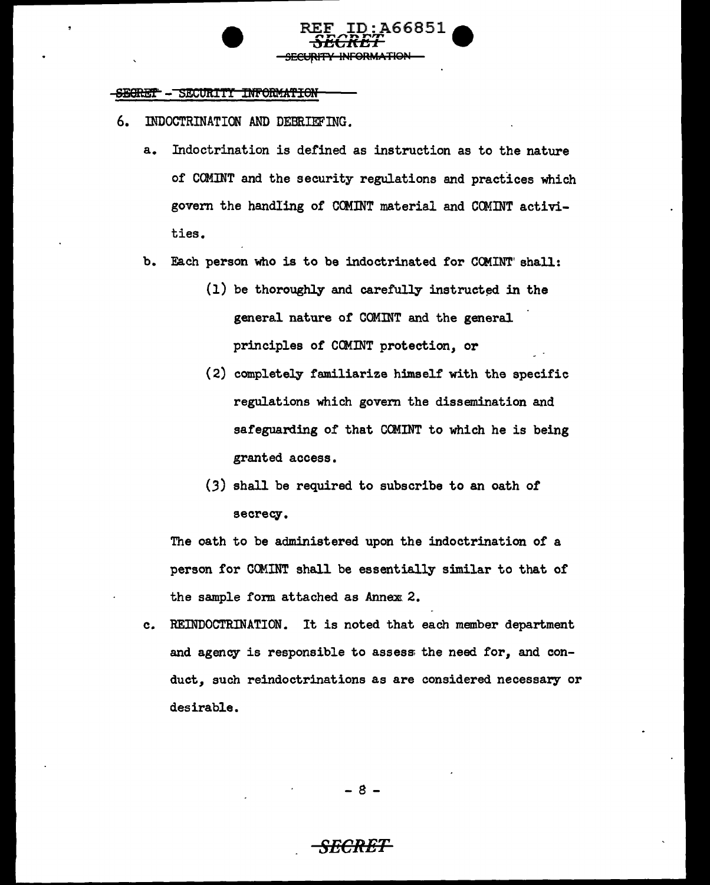

- 6. DIDOCTRINATION AND DEBRIEFING.
	- a. Indoctrination is defined as instruction as to the nature of COMINT and the security regulations and practices which govern the handling of CCHINT material and COMINT activities.
	- b. Each person who is to be indoctrinated for COMINT' shall:
		- $(1)$  be thoroughly and carefully instructed in the general nature of' COMINT and the general principles of COMINT protection, or
		- (2) completely familiarize himself' with the specific regulations which govern the dissemination and safeguarding of that CCMINT to which he is being granted access.
		- *(3)* shall be required to subscribe to an oath of secrecy.

The oath to be administered upon the indoctrination of a person for COMINT shall be essentially similar to that of the sample form attached as Annex 2.

c. REINDOCTRINAT10N. It is noted that each member department and agency is responsible to assess the need for, and conduct, such reindoctrinations as are considered necessary or desirable.

- 8 -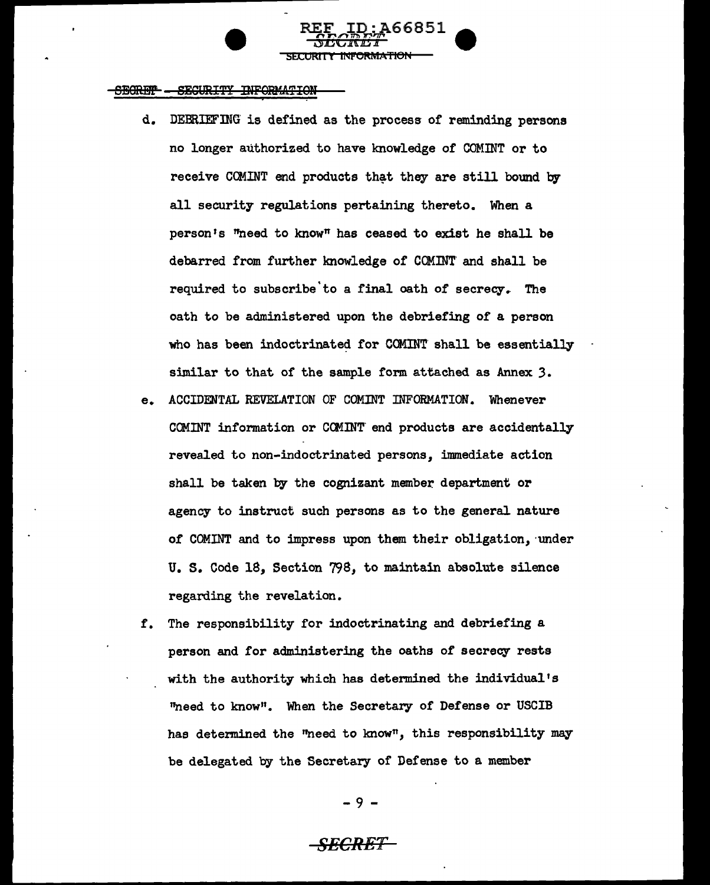d. DEBRIEFrnG' is defined as the process of reminding persons no longer authorized to have knowledge of COMmT or to receive COMINT end products that they are still bound by all security regulations pertaining thereto. When a person's "need to known has ceased to exist he shall be debarred from further knowledge of COMmT' and shall be required to subscribe to a final oath of secrecy. The oath to be administered upon the debriefing of a person who has been indoctrinated for COMINT shall be essentially similar to that of the sample form attached as Annex *3.* 

REF ID: A66851  $\mathcal{L}$  decimalization is a set of  $\mathcal{L}$ 

SECURITY INFORMATION

- e. ACCIDENTAL REVELATION OF COMINT INFORMATION. Whenever COMINT information or COMINT end products are accidentally revealed to non-indoctrinated persons, immediate action shall be taken by the cognizant member department or agency to instruct such persons as to the general nature of COMINT and to impress upon them their obligation, under U. s. Code 18, Section 798, to maintain absolute silence regarding the revelation.
- r. The responsibility for indoctrinating and debriefing a person and for administering the oaths of secrecy rests with the authority which has determined the individual's "need to know". When the Secretary of Defense or USCIB has determined the "need to know", this responsibility may be delegated by the Secretary of Defense to a member

- 9 -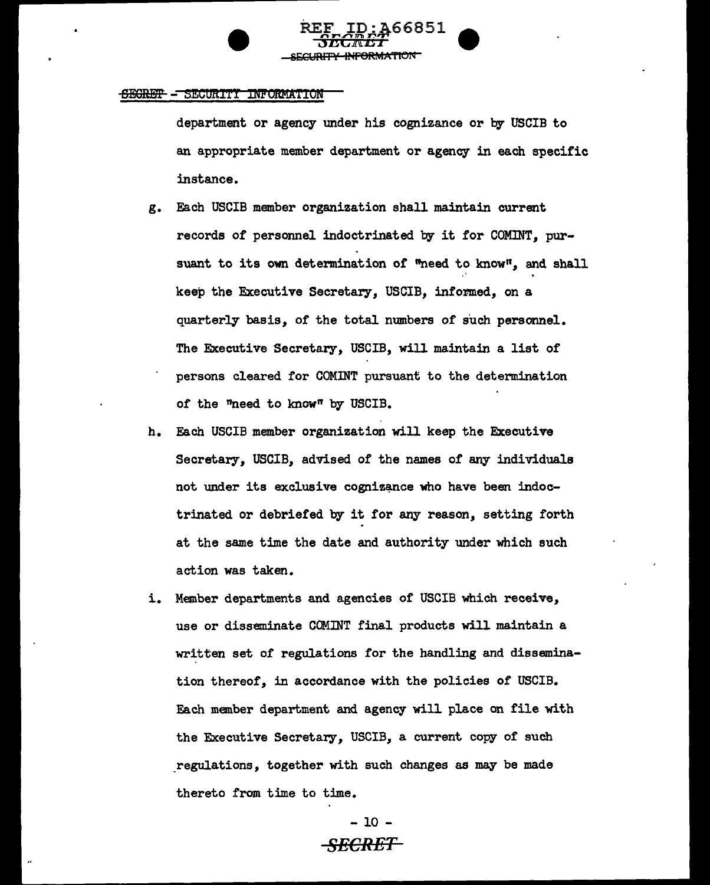department or agency under his cognizance or by USCIB to an appropriate member department or agency in each specific instance.

REF ID: A66851 ;JDG11\tD1 • **ARMATION** 

- g. Each USCIB member organization shall maintain current records of personnel indoctrinated by it for COMINT, pursuant to its own determination of "need to know", and shall keep the Executive Secretary, USCIB, informed, on a quarterly basis, of the total numbers of such personnel. The Executive Secretary, USCIB, will maintain a list of persons cleared for COMINT pursuant to the determination or the "need to known by USCIB.
- h. Each USCIB member organization will keep the Executive Secretary, USCIB, advised of the names of any individuals not under its exclusive cognizance who have been indoctrinated or debriefed by it for any reason, setting forth at the same time the date and authority under which such action was taken.
- i. Member departments and agencies or USCIB which receive, use or disseminate COMINT final products will maintain a written set of regulations for the handling and dissemination thereof, in accordance with the policies of USCIB. Each member department and agency will place on file with the Executive Secretary, USCIB, a current copy of such regulations, together with such changes as may be made thereto from time to time.

- 10 - *SECRET*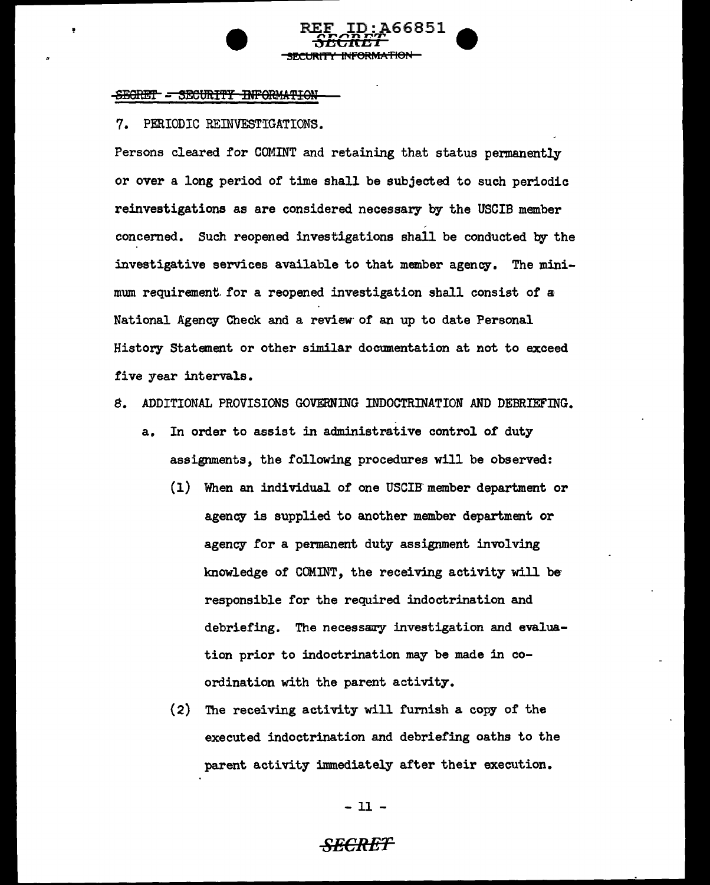## 7. PERIODIC REINVESTIGATIONS.

Persons cleared for COMINT and retaining that status permanently or over a long period of time shall be subjected to such periodic reinvestigations as are considered necessary by the USCIB member concerned. Such reopened investigations shall be conducted by the investigative services available to that member agency. The minimum requirement. for a reopened investigation shall consist of a National Agency Check and a review of an up to date Personal History Statement or other similar documentation at not to exceed five year intervals.

REF ID: A66851

<del>SECRET</del> SECURITY INFORMATION

- *8.* ADDITIONAL PROVISIONS GOVERNING INDOCTRINATION AND DEBRIEFING.
	- a. In order to assist in administrative control of duty assignments, the following procedures will be observed:
		- (1) When an individual of one USCIB' member department or agency is supplied to another member department or agency for a permanent duty assignment involving knowledge of COMINT, the receiving activity will be responsible for the required indoctrination and debriefing. The necessary investigation and evaluation prior to indoctrination may be made in coordination with the parent activity.
		- (2) The receiving activity will furnish a copy of the executed indoctrination and debriefing oaths to the parent activity immediately after their execution.

- 11 -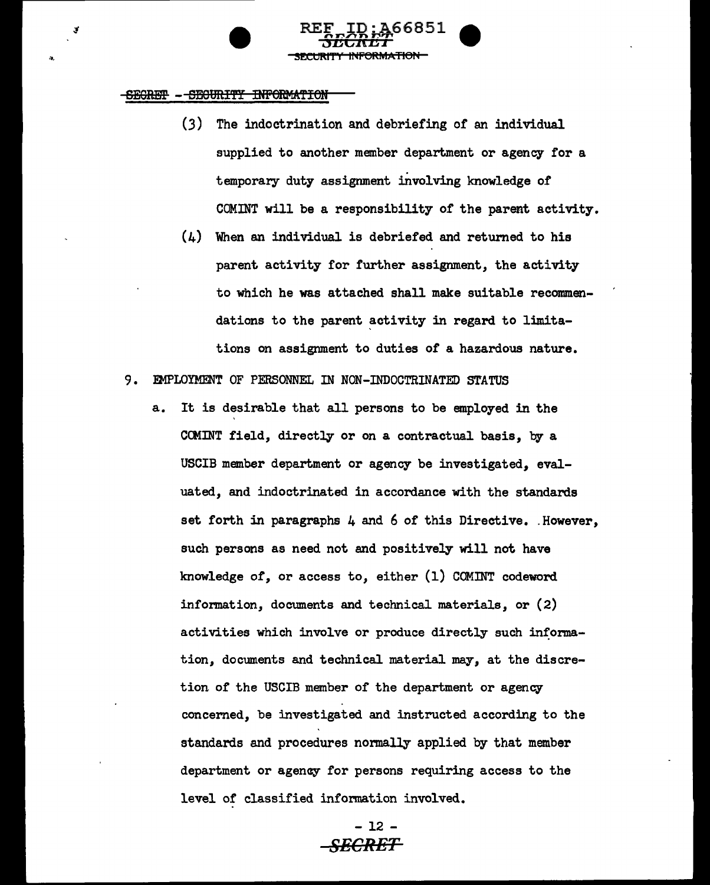, ..

(3) The indoctrination and debriefing of an individual supplied to another member department or agency for a temporary duty assignment involving knowledge of COMINT will be a responsibility of the parent activity.

 $RE_{\nu}$ ID; $A$ 66851  $\blacksquare$ SECRET VIII

<u>SECURITY INFORMATION</u>

- (4) When an individual is debriefed and returned to his parent activity for further assignment, the activity to which he was attached shall make suitable recommendations to the parent activity in regard to limitations on assignment to duties *of* a hazardous nature.
- 9. EMPLOYMENT OF PERSONNEL IN NON-INDOCTRINATED STATUS
	- a. It is desirable that all persons to be employed in the CCMINT field, directly or on a contractual basis, by a USCIB member department or agency be investigated, evaluated, and indoctrinated in accordance with the standards set forth in paragraphs  $4$  and  $6$  of this Directive. However, such persons as need not and positively will not have knowledge of, or access to, either (1) COMINT codeword information, documents and technical materials, or (2) activities which involve or produce directly such information, documents and technical material may, at the discretion of the USCIB member of the department or agency concerned, be investigated and instructed according to the standards and procedures normally applied by that member department or agency for persons requiring access to the level or classified information involved.

- 12 - *SECRET*